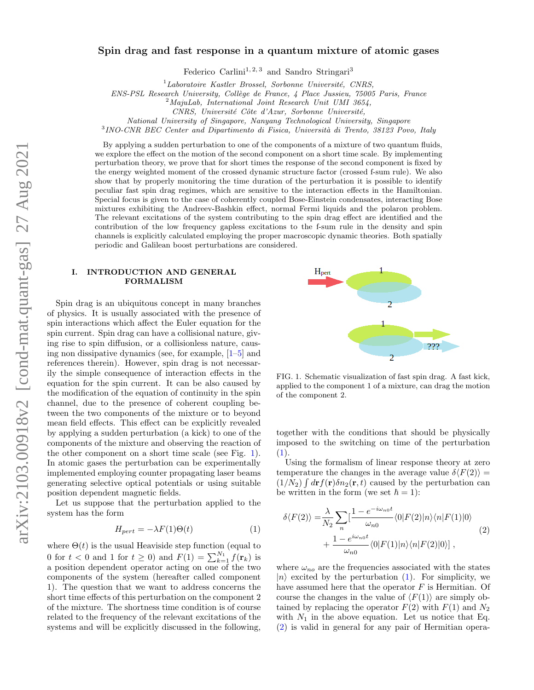# Spin drag and fast response in a quantum mixture of atomic gases

Federico Carlini<sup>1, 2, 3</sup> and Sandro Stringari<sup>3</sup>

 $1$ Laboratoire Kastler Brossel, Sorbonne Université, CNRS,

ENS-PSL Research University, Collège de France, 4 Place Jussieu, 75005 Paris, France

 $2$ MajuLab, International Joint Research Unit UMI 3654,

CNRS, Université Côte d'Azur, Sorbonne Université,

National University of Singapore, Nanyang Technological University, Singapore

<sup>3</sup> INO-CNR BEC Center and Dipartimento di Fisica, Università di Trento, 38123 Povo, Italy

By applying a sudden perturbation to one of the components of a mixture of two quantum fluids, we explore the effect on the motion of the second component on a short time scale. By implementing perturbation theory, we prove that for short times the response of the second component is fixed by the energy weighted moment of the crossed dynamic structure factor (crossed f-sum rule). We also show that by properly monitoring the time duration of the perturbation it is possible to identify peculiar fast spin drag regimes, which are sensitive to the interaction effects in the Hamiltonian. Special focus is given to the case of coherently coupled Bose-Einstein condensates, interacting Bose mixtures exhibiting the Andreev-Bashkin effect, normal Fermi liquids and the polaron problem. The relevant excitations of the system contributing to the spin drag effect are identified and the contribution of the low frequency gapless excitations to the f-sum rule in the density and spin channels is explicitly calculated employing the proper macroscopic dynamic theories. Both spatially periodic and Galilean boost perturbations are considered.

### I. INTRODUCTION AND GENERAL FORMALISM

Spin drag is an ubiquitous concept in many branches of physics. It is usually associated with the presence of spin interactions which affect the Euler equation for the spin current. Spin drag can have a collisional nature, giving rise to spin diffusion, or a collisionless nature, causing non dissipative dynamics (see, for example, [\[1](#page-9-0)[–5\]](#page-9-1) and references therein). However, spin drag is not necessarily the simple consequence of interaction effects in the equation for the spin current. It can be also caused by the modification of the equation of continuity in the spin channel, due to the presence of coherent coupling between the two components of the mixture or to beyond mean field effects. This effect can be explicitly revealed by applying a sudden perturbation (a kick) to one of the components of the mixture and observing the reaction of the other component on a short time scale (see Fig. [1\)](#page-0-0). In atomic gases the perturbation can be experimentally implemented employing counter propagating laser beams generating selective optical potentials or using suitable position dependent magnetic fields.

Let us suppose that the perturbation applied to the system has the form

<span id="page-0-1"></span>
$$
H_{pert} = -\lambda F(1)\Theta(t) \tag{1}
$$

where  $\Theta(t)$  is the usual Heaviside step function (equal to 0 for  $t < 0$  and 1 for  $t \ge 0$ ) and  $F(1) = \sum_{k=1}^{N_1} f(\mathbf{r}_k)$  is a position dependent operator acting on one of the two components of the system (hereafter called component 1). The question that we want to address concerns the short time effects of this perturbation on the component 2 of the mixture. The shortness time condition is of course related to the frequency of the relevant excitations of the systems and will be explicitly discussed in the following,



<span id="page-0-0"></span>FIG. 1. Schematic visualization of fast spin drag. A fast kick, applied to the component 1 of a mixture, can drag the motion of the component 2.

together with the conditions that should be physically imposed to the switching on time of the perturbation  $(1).$  $(1).$ 

Using the formalism of linear response theory at zero temperature the changes in the average value  $\delta \langle F(2) \rangle =$  $(1/N_2)\int d\mathbf{r} f(\mathbf{r})\delta n_2(\mathbf{r},t)$  caused by the perturbation can be written in the form (we set  $\hbar = 1$ ):

<span id="page-0-2"></span>
$$
\delta \langle F(2) \rangle = \frac{\lambda}{N_2} \sum_n \left[ \frac{1 - e^{-i\omega_{n0}t}}{\omega_{n0}} \langle 0|F(2)|n \rangle \langle n|F(1)|0 \rangle \right. \\
\left. + \frac{1 - e^{i\omega_{n0}t}}{\omega_{n0}} \langle 0|F(1)|n \rangle \langle n|F(2)|0 \rangle \right],
$$
\n(2)

where  $\omega_{no}$  are the frequencies associated with the states  $|n\rangle$  excited by the perturbation [\(1\)](#page-0-1). For simplicity, we have assumed here that the operator  $F$  is Hermitian. Of course the changes in the value of  $\langle F(1) \rangle$  are simply obtained by replacing the operator  $F(2)$  with  $F(1)$  and  $N_2$ with  $N_1$  in the above equation. Let us notice that Eq. [\(2\)](#page-0-2) is valid in general for any pair of Hermitian opera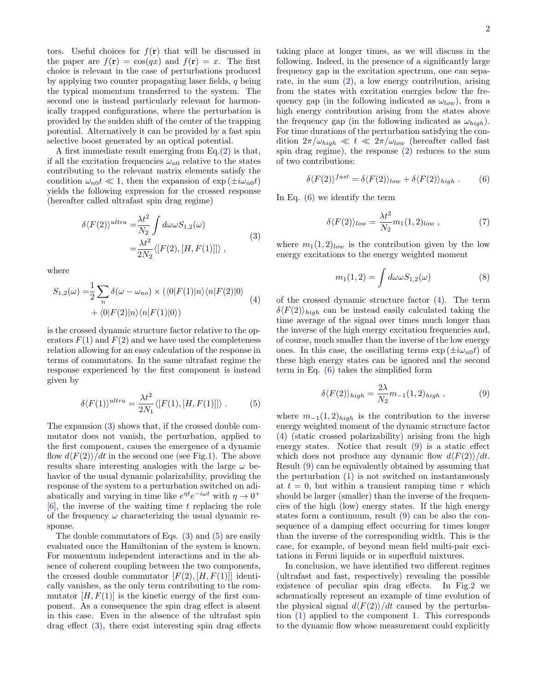tors. Useful choices for  $f(\mathbf{r})$  that will be discussed in the paper are  $f(\mathbf{r}) = \cos(qx)$  and  $f(\mathbf{r}) = x$ . The first choice is relevant in the case of perturbations produced by applying two counter propagating laser fields, q being the typical momentum transferred to the system. The second one is instead particularly relevant for harmonically trapped configurations, where the perturbation is provided by the sudden shift of the center of the trapping potential. Alternatively it can be provided by a fast spin selective boost generated by an optical potential.

A first immediate result emerging from Eq.[\(2\)](#page-0-2) is that, if all the excitation frequencies  $\omega_{n0}$  relative to the states contributing to the relevant matrix elements satisfy the condition  $\omega_{n0}t \ll 1$ , then the expansion of  $\exp(\pm i\omega_{n0}t)$ yields the following expression for the crossed response (hereafter called ultrafast spin drag regime)

<span id="page-1-0"></span>
$$
\delta \langle F(2) \rangle^{ultra} = \frac{\lambda t^2}{N_2} \int d\omega \omega S_{1,2}(\omega)
$$
  
= 
$$
\frac{\lambda t^2}{2N_2} \langle [F(2), [H, F(1)]] \rangle ,
$$
 (3)

where

<span id="page-1-3"></span>
$$
S_{1,2}(\omega) = \frac{1}{2} \sum_{n} \delta(\omega - \omega_{no}) \times (\langle 0|F(1)|n \rangle \langle n|F(2)|0 \rangle
$$
  
 
$$
+ \langle 0|F(2)|n \rangle \langle n|F(1)|0 \rangle)
$$
 (4)

is the crossed dynamic structure factor relative to the operators  $F(1)$  and  $F(2)$  and we have used the completeness relation allowing for an easy calculation of the response in terms of commutators. In the same ultrafast regime the response experienced by the first component is instead given by

<span id="page-1-1"></span>
$$
\delta \langle F(1) \rangle^{ultra} = \frac{\lambda t^2}{2N_1} \langle [F(1), [H, F(1)]] \rangle . \tag{5}
$$

The expansion [\(3\)](#page-1-0) shows that, if the crossed double commutator does not vanish, the perturbation, applied to the first component, causes the emergence of a dynamic flow  $d\langle F(2)\rangle/dt$  in the second one (see Fig[.1\)](#page-0-0). The above results share interesting analogies with the large  $\omega$  behavior of the usual dynamic polarizability, providing the response of the system to a perturbation switched on adiabatically and varying in time like  $e^{\eta t}e^{-i\omega t}$  with  $\eta \to 0^+$  $[6]$ , the inverse of the waiting time t replacing the role of the frequency  $\omega$  characterizing the usual dynamic response.

The double commutators of Eqs.  $(3)$  and  $(5)$  are easily evaluated once the Hamiltonian of the system is known. For momentum independent interactions and in the absence of coherent coupling between the two components, the crossed double commutator  $[F(2), [H, F(1)]]$  identically vanishes, as the only term contributing to the commutator  $[H, F(1)]$  is the kinetic energy of the first component. As a consequence the spin drag effect is absent in this case. Even in the absence of the ultrafast spin drag effect [\(3\)](#page-1-0), there exist interesting spin drag effects

taking place at longer times, as we will discuss in the following. Indeed, in the presence of a significantly large frequency gap in the excitation spectrum, one can separate, in the sum  $(2)$ , a low energy contribution, arising from the states with excitation energies below the frequency gap (in the following indicated as  $\omega_{low}$ ), from a high energy contribution arising from the states above the frequency gap (in the following indicated as  $\omega_{high}$ ). For time durations of the perturbation satisfying the condition  $2\pi/\omega_{high} \ll t \ll 2\pi/\omega_{low}$  (hereafter called fast spin drag regime), the response [\(2\)](#page-0-2) reduces to the sum of two contributions:

<span id="page-1-2"></span>
$$
\delta \langle F(2) \rangle^{fast} = \delta \langle F(2) \rangle_{low} + \delta \langle F(2) \rangle_{high} . \tag{6}
$$

In Eq.  $(6)$  we identify the term

$$
\delta \langle F(2) \rangle_{low} = \frac{\lambda t^2}{N_2} m_1(1, 2)_{low} , \qquad (7)
$$

where  $m_1(1, 2)_{low}$  is the contribution given by the low energy excitations to the energy weighted moment

$$
m_1(1,2) = \int d\omega \omega S_{1,2}(\omega) \tag{8}
$$

of the crossed dynamic structure factor [\(4\)](#page-1-3). The term  $\delta \langle F(2) \rangle_{high}$  can be instead easily calculated taking the time average of the signal over times much longer than the inverse of the high energy excitation frequencies and, of course, much smaller than the inverse of the low energy ones. In this case, the oscillating terms  $\exp(\pm i\omega_{n0}t)$  of these high energy states can be ignored and the second term in Eq. [\(6\)](#page-1-2) takes the simplified form

<span id="page-1-4"></span>
$$
\delta \langle F(2) \rangle_{high} = \frac{2\lambda}{N_2} m_{-1}(1,2)_{high} , \qquad (9)
$$

where  $m_{-1}(1,2)_{high}$  is the contribution to the inverse energy weighted moment of the dynamic structure factor [\(4\)](#page-1-3) (static crossed polarizability) arising from the high energy states. Notice that result [\(9\)](#page-1-4) is a static effect which does not produce any dynamic flow  $d\langle F(2)\rangle/dt$ . Result [\(9\)](#page-1-4) can be equivalently obtained by assuming that the perturbation [\(1\)](#page-0-1) is not switched on instantaneously at  $t = 0$ , but within a transient ramping time  $\tau$  which should be larger (smaller) than the inverse of the frequencies of the high (low) energy states. If the high energy states form a continuum, result [\(9\)](#page-1-4) can be also the consequence of a damping effect occurring for times longer than the inverse of the corresponding width. This is the case, for example, of beyond mean field multi-pair excitations in Fermi liquids or in superfluid mixtures.

In conclusion, we have identified two different regimes (ultrafast and fast, respectively) revealing the possible existence of peculiar spin drag effects. In Fig[.2](#page-2-0) we schematically represent an example of time evolution of the physical signal  $d\langle F(2)\rangle/dt$  caused by the perturbation [\(1\)](#page-0-1) applied to the component 1. This corresponds to the dynamic flow whose measurement could explicitly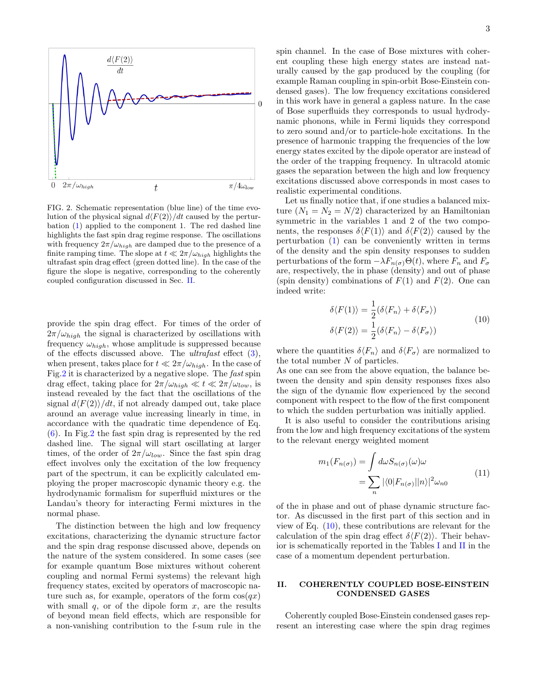

<span id="page-2-0"></span>FIG. 2. Schematic representation (blue line) of the time evolution of the physical signal  $d\langle F(2)\rangle/dt$  caused by the perturbation [\(1\)](#page-0-1) applied to the component 1. The red dashed line highlights the fast spin drag regime response. The oscillations with frequency  $2\pi/\omega_{high}$  are damped due to the presence of a finite ramping time. The slope at  $t \ll 2\pi/\omega_{high}$  highlights the ultrafast spin drag effect (green dotted line). In the case of the figure the slope is negative, corresponding to the coherently coupled configuration discussed in Sec. [II.](#page-2-1)

provide the spin drag effect. For times of the order of  $2\pi/\omega_{high}$  the signal is characterized by oscillations with frequency  $\omega_{high}$ , whose amplitude is suppressed because of the effects discussed above. The *ultrafast* effect  $(3)$ , when present, takes place for  $t \ll 2\pi/\omega_{high}$ . In the case of Fig[.2](#page-2-0) it is characterized by a negative slope. The fast spin drag effect, taking place for  $2\pi/\omega_{high} \ll t \ll 2\pi/\omega_{low}$ , is instead revealed by the fact that the oscillations of the signal  $d\langle F(2)\rangle/dt$ , if not already damped out, take place around an average value increasing linearly in time, in accordance with the quadratic time dependence of Eq. [\(6\)](#page-1-2). In Fig[.2](#page-2-0) the fast spin drag is represented by the red dashed line. The signal will start oscillating at larger times, of the order of  $2\pi/\omega_{low}$ . Since the fast spin drag effect involves only the excitation of the low frequency part of the spectrum, it can be explicitly calculated employing the proper macroscopic dynamic theory e.g. the hydrodynamic formalism for superfluid mixtures or the Landau's theory for interacting Fermi mixtures in the normal phase.

The distinction between the high and low frequency excitations, characterizing the dynamic structure factor and the spin drag response discussed above, depends on the nature of the system considered. In some cases (see for example quantum Bose mixtures without coherent coupling and normal Fermi systems) the relevant high frequency states, excited by operators of macroscopic nature such as, for example, operators of the form  $cos(qx)$ with small  $q$ , or of the dipole form  $x$ , are the results of beyond mean field effects, which are responsible for a non-vanishing contribution to the f-sum rule in the

spin channel. In the case of Bose mixtures with coherent coupling these high energy states are instead naturally caused by the gap produced by the coupling (for example Raman coupling in spin-orbit Bose-Einstein condensed gases). The low frequency excitations considered in this work have in general a gapless nature. In the case of Bose superfluids they corresponds to usual hydrodynamic phonons, while in Fermi liquids they correspond to zero sound and/or to particle-hole excitations. In the presence of harmonic trapping the frequencies of the low energy states excited by the dipole operator are instead of the order of the trapping frequency. In ultracold atomic gases the separation between the high and low frequency excitations discussed above corresponds in most cases to realistic experimental conditions.

Let us finally notice that, if one studies a balanced mixture  $(N_1 = N_2 = N/2)$  characterized by an Hamiltonian symmetric in the variables 1 and 2 of the two components, the responses  $\delta \langle F(1) \rangle$  and  $\delta \langle F(2) \rangle$  caused by the perturbation [\(1\)](#page-0-1) can be conveniently written in terms of the density and the spin density responses to sudden perturbations of the form  $-\lambda F_{n(\sigma)}\Theta(t)$ , where  $F_n$  and  $F_\sigma$ are, respectively, the in phase (density) and out of phase (spin density) combinations of  $F(1)$  and  $F(2)$ . One can indeed write:

$$
\delta \langle F(1) \rangle = \frac{1}{2} (\delta \langle F_n \rangle + \delta \langle F_\sigma \rangle)
$$
  

$$
\delta \langle F(2) \rangle = \frac{1}{2} (\delta \langle F_n \rangle - \delta \langle F_\sigma \rangle)
$$
 (10)

<span id="page-2-2"></span>where the quantities  $\delta \langle F_n \rangle$  and  $\delta \langle F_{\sigma} \rangle$  are normalized to the total number N of particles.

As one can see from the above equation, the balance between the density and spin density responses fixes also the sign of the dynamic flow experienced by the second component with respect to the flow of the first component to which the sudden perturbation was initially applied.

It is also useful to consider the contributions arising from the low and high frequency excitations of the system to the relevant energy weighted moment

$$
m_1(F_{n(\sigma)}) = \int d\omega S_{n(\sigma)}(\omega)\omega
$$
  
= 
$$
\sum_n |\langle 0|F_{n(\sigma)}||n\rangle|^2 \omega_{n0}
$$
 (11)

of the in phase and out of phase dynamic structure factor. As discussed in the first part of this section and in view of Eq.  $(10)$ , these contributions are relevant for the calculation of the spin drag effect  $\delta\langle F(2)\rangle$ . Their behavior is schematically reported in the Tables [I](#page-4-0) and [II](#page-6-0) in the case of a momentum dependent perturbation.

# <span id="page-2-1"></span>II. COHERENTLY COUPLED BOSE-EINSTEIN CONDENSED GASES

Coherently coupled Bose-Einstein condensed gases represent an interesting case where the spin drag regimes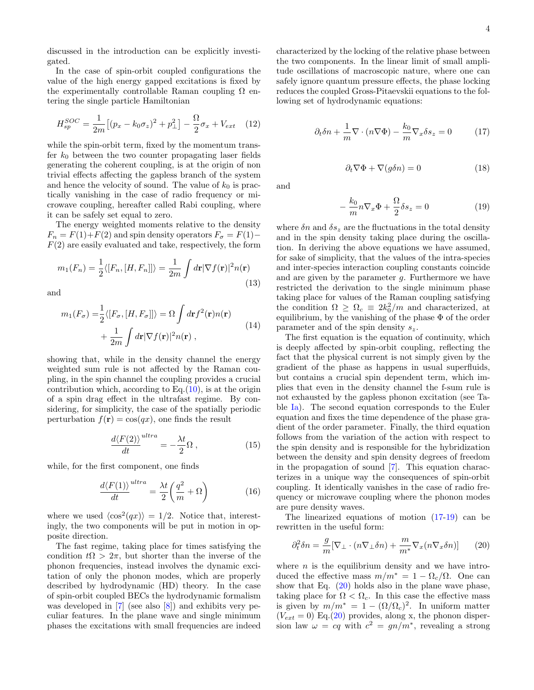discussed in the introduction can be explicitly investigated.

In the case of spin-orbit coupled configurations the value of the high energy gapped excitations is fixed by the experimentally controllable Raman coupling  $\Omega$  entering the single particle Hamiltonian

$$
H_{sp}^{SOC} = \frac{1}{2m} \left[ (p_x - k_0 \sigma_z)^2 + p_\perp^2 \right] - \frac{\Omega}{2} \sigma_x + V_{ext} \quad (12)
$$

while the spin-orbit term, fixed by the momentum transfer  $k_0$  between the two counter propagating laser fields generating the coherent coupling, is at the origin of non trivial effects affecting the gapless branch of the system and hence the velocity of sound. The value of  $k_0$  is practically vanishing in the case of radio frequency or microwave coupling, hereafter called Rabi coupling, where it can be safely set equal to zero.

The energy weighted moments relative to the density  $F_n = F(1) + F(2)$  and spin density operators  $F_\sigma = F(1) F(2)$  are easily evaluated and take, respectively, the form

$$
m_1(F_n) = \frac{1}{2} \langle [F_n, [H, F_n]] \rangle = \frac{1}{2m} \int d\mathbf{r} |\nabla f(\mathbf{r})|^2 n(\mathbf{r})
$$
\n(13)

and

$$
m_1(F_{\sigma}) = \frac{1}{2} \langle [F_{\sigma}, [H, F_{\sigma}]] \rangle = \Omega \int d\mathbf{r} f^2(\mathbf{r}) n(\mathbf{r}) + \frac{1}{2m} \int d\mathbf{r} |\nabla f(\mathbf{r})|^2 n(\mathbf{r}),
$$
\n(14)

showing that, while in the density channel the energy weighted sum rule is not affected by the Raman coupling, in the spin channel the coupling provides a crucial contribution which, according to  $Eq.(10)$  $Eq.(10)$ , is at the origin of a spin drag effect in the ultrafast regime. By considering, for simplicity, the case of the spatially periodic perturbation  $f(\mathbf{r}) = \cos(qx)$ , one finds the result

<span id="page-3-4"></span>
$$
\frac{d\langle F(2)\rangle}{dt}^{ultra} = -\frac{\lambda t}{2}\Omega\,,\tag{15}
$$

while, for the first component, one finds

$$
\frac{d\langle F(1)\rangle}{dt}^{ultra} = \frac{\lambda t}{2} \left(\frac{q^2}{m} + \Omega\right) \tag{16}
$$

where we used  $\langle \cos^2(qx) \rangle = 1/2$ . Notice that, interestingly, the two components will be put in motion in opposite direction.

The fast regime, taking place for times satisfying the condition  $t\Omega > 2\pi$ , but shorter than the inverse of the phonon frequencies, instead involves the dynamic excitation of only the phonon modes, which are properly described by hydrodynamic (HD) theory. In the case of spin-orbit coupled BECs the hydrodynamic formalism was developed in [\[7\]](#page-9-3) (see also [\[8\]](#page-9-4)) and exhibits very peculiar features. In the plane wave and single minimum phases the excitations with small frequencies are indeed characterized by the locking of the relative phase between the two components. In the linear limit of small amplitude oscillations of macroscopic nature, where one can safely ignore quantum pressure effects, the phase locking reduces the coupled Gross-Pitaevskii equations to the following set of hydrodynamic equations:

<span id="page-3-0"></span>
$$
\partial_t \delta n + \frac{1}{m} \nabla \cdot (n \nabla \Phi) - \frac{k_0}{m} \nabla_x \delta s_z = 0 \tag{17}
$$

<span id="page-3-3"></span>
$$
\partial_t \nabla \Phi + \nabla (g \delta n) = 0 \tag{18}
$$

and

<span id="page-3-1"></span>
$$
-\frac{k_0}{m}n\nabla_x\Phi + \frac{\Omega}{2}\delta s_z = 0\tag{19}
$$

where  $\delta n$  and  $\delta s_z$  are the fluctuations in the total density and in the spin density taking place during the oscillation. In deriving the above equations we have assumed, for sake of simplicity, that the values of the intra-species and inter-species interaction coupling constants coincide and are given by the parameter g. Furthermore we have restricted the derivation to the single minimum phase taking place for values of the Raman coupling satisfying the condition  $\Omega \geq \Omega_c \equiv 2k_0^2/m$  and characterized, at equilibrium, by the vanishing of the phase  $\Phi$  of the order parameter and of the spin density  $s_z$ .

The first equation is the equation of continuity, which is deeply affected by spin-orbit coupling, reflecting the fact that the physical current is not simply given by the gradient of the phase as happens in usual superfluids, but contains a crucial spin dependent term, which implies that even in the density channel the f-sum rule is not exhausted by the gapless phonon excitation (see Table [Ia\)](#page-4-0). The second equation corresponds to the Euler equation and fixes the time dependence of the phase gradient of the order parameter. Finally, the third equation follows from the variation of the action with respect to the spin density and is responsible for the hybridization between the density and spin density degrees of freedom in the propagation of sound [\[7\]](#page-9-3). This equation characterizes in a unique way the consequences of spin-orbit coupling. It identically vanishes in the case of radio frequency or microwave coupling where the phonon modes are pure density waves.

The linearized equations of motion [\(17-](#page-3-0)[19\)](#page-3-1) can be rewritten in the useful form:

<span id="page-3-2"></span>
$$
\partial_t^2 \delta n = \frac{g}{m} [\nabla_\perp \cdot (n \nabla_\perp \delta n) + \frac{m}{m^*} \nabla_x (n \nabla_x \delta n)] \qquad (20)
$$

where  $n$  is the equilibrium density and we have introduced the effective mass  $m/m^* = 1 - \Omega_c/\Omega$ . One can show that Eq. [\(20\)](#page-3-2) holds also in the plane wave phase, taking place for  $\Omega < \Omega_c$ . In this case the effective mass is given by  $m/m^* = 1 - (\Omega/\Omega_c)^2$ . In uniform matter  $(V_{ext} = 0)$  Eq.[\(20\)](#page-3-2) provides, along x, the phonon dispersion law  $\omega = cq$  with  $c^2 = gn/m^*$ , revealing a strong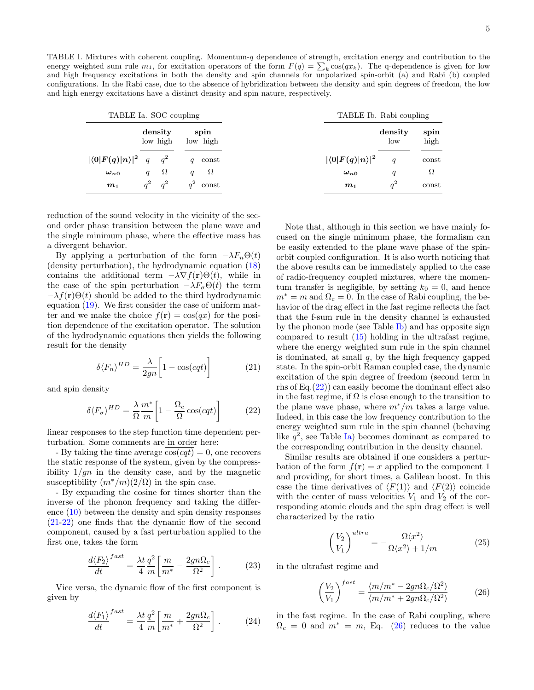<span id="page-4-0"></span>TABLE I. Mixtures with coherent coupling. Momentum-q dependence of strength, excitation energy and contribution to the energy weighted sum rule  $m_1$ , for excitation operators of the form  $F(q) = \sum_k \cos(qx_k)$ . The q-dependence is given for low and high frequency excitations in both the density and spin channels for unpolarized spin-orbit (a) and Rabi (b) coupled configurations. In the Rabi case, due to the absence of hybridization between the density and spin degrees of freedom, the low and high energy excitations have a distinct density and spin nature, respectively.

| TABLE Ia. SOC coupling              |                              |                              |                               | TABLE Ib. Rabi coupling |              |  |
|-------------------------------------|------------------------------|------------------------------|-------------------------------|-------------------------|--------------|--|
|                                     | density<br>low high          | spin<br>low high             |                               | density<br>low          | spin<br>high |  |
| $ \langle 0 F(q) n\rangle ^2 q q^2$ |                              | const<br>q                   | $ \langle 0 F(q) n\rangle ^2$ |                         | const        |  |
| $\omega_{n0}$                       | $\Omega$<br>$\boldsymbol{q}$ | $\Omega$<br>$\boldsymbol{q}$ | $\omega_{n0}$                 | $\boldsymbol{q}$        | $\Omega$     |  |
| m <sub>1</sub>                      | $q^2$ $q^2$                  | $q^2$<br>const               | m <sub>1</sub>                | $q^2$                   | const        |  |

reduction of the sound velocity in the vicinity of the second order phase transition between the plane wave and the single minimum phase, where the effective mass has a divergent behavior.

By applying a perturbation of the form  $-\lambda F_n\Theta(t)$ (density perturbation), the hydrodynamic equation [\(18\)](#page-3-3) contains the additional term  $-\lambda \nabla f(\mathbf{r})\Theta(t)$ , while in the case of the spin perturbation  $-\lambda F_{\sigma}\Theta(t)$  the term  $-\lambda f(\mathbf{r})\Theta(t)$  should be added to the third hydrodynamic equation [\(19\)](#page-3-1). We first consider the case of uniform matter and we make the choice  $f(\mathbf{r}) = \cos(qx)$  for the position dependence of the excitation operator. The solution of the hydrodynamic equations then yields the following result for the density

<span id="page-4-1"></span>
$$
\delta \langle F_n \rangle^{HD} = \frac{\lambda}{2gn} \left[ 1 - \cos(cqt) \right] \tag{21}
$$

and spin density

<span id="page-4-2"></span>
$$
\delta \langle F_{\sigma} \rangle^{HD} = \frac{\lambda}{\Omega} \frac{m^*}{m} \left[ 1 - \frac{\Omega_c}{\Omega} \cos(cqt) \right] \tag{22}
$$

linear responses to the step function time dependent perturbation. Some comments are in order here:

- By taking the time average  $cos(cqt) = 0$ , one recovers the static response of the system, given by the compressibility  $1/gn$  in the density case, and by the magnetic susceptibility  $(m^*/m)(2/\Omega)$  in the spin case.

- By expanding the cosine for times shorter than the inverse of the phonon frequency and taking the difference [\(10\)](#page-2-2) between the density and spin density responses [\(21-](#page-4-1)[22\)](#page-4-2) one finds that the dynamic flow of the second component, caused by a fast perturbation applied to the first one, takes the form

fast

$$
\frac{d\langle F_2 \rangle}{dt}^{fast} = \frac{\lambda t}{4} \frac{q^2}{m} \left[ \frac{m}{m^*} - \frac{2gn\Omega_c}{\Omega^2} \right]. \tag{23}
$$

Vice versa, the dynamic flow of the first component is given by

$$
\frac{d\langle F_1\rangle}{dt}^{fast} = \frac{\lambda t}{4} \frac{q^2}{m} \left[ \frac{m}{m^*} + \frac{2gn\Omega_c}{\Omega^2} \right].
$$
 (24)

Note that, although in this section we have mainly focused on the single minimum phase, the formalism can be easily extended to the plane wave phase of the spinorbit coupled configuration. It is also worth noticing that the above results can be immediately applied to the case of radio-frequency coupled mixtures, where the momentum transfer is negligible, by setting  $k_0 = 0$ , and hence  $m^* = m$  and  $\Omega_c = 0$ . In the case of Rabi coupling, the behavior of the drag effect in the fast regime reflects the fact that the f-sum rule in the density channel is exhausted by the phonon mode (see Table [Ib\)](#page-4-0) and has opposite sign compared to result [\(15\)](#page-3-4) holding in the ultrafast regime, where the energy weighted sum rule in the spin channel is dominated, at small  $q$ , by the high frequency gapped state. In the spin-orbit Raman coupled case, the dynamic excitation of the spin degree of freedom (second term in rhs of Eq.[\(22\)](#page-4-2)) can easily become the dominant effect also in the fast regime, if  $\Omega$  is close enough to the transition to the plane wave phase, where  $m^*/m$  takes a large value. Indeed, in this case the low frequency contribution to the energy weighted sum rule in the spin channel (behaving like  $q^2$ , see Table [Ia\)](#page-4-0) becomes dominant as compared to the corresponding contribution in the density channel.

Similar results are obtained if one considers a perturbation of the form  $f(\mathbf{r}) = x$  applied to the component 1 and providing, for short times, a Galilean boost. In this case the time derivatives of  $\langle F(1) \rangle$  and  $\langle F(2) \rangle$  coincide with the center of mass velocities  $V_1$  and  $V_2$  of the corresponding atomic clouds and the spin drag effect is well characterized by the ratio

<span id="page-4-4"></span>
$$
\left(\frac{V_2}{V_1}\right)^{ultra} = -\frac{\Omega \langle x^2 \rangle}{\Omega \langle x^2 \rangle + 1/m}
$$
 (25)

in the ultrafast regime and

<span id="page-4-3"></span>
$$
\left(\frac{V_2}{V_1}\right)^{fast} = \frac{\langle m/m^* - 2gn\Omega_c/\Omega^2\rangle}{\langle m/m^* + 2gn\Omega_c/\Omega^2\rangle} \tag{26}
$$

in the fast regime. In the case of Rabi coupling, where  $\Omega_c = 0$  and  $m^* = m$ , Eq. [\(26\)](#page-4-3) reduces to the value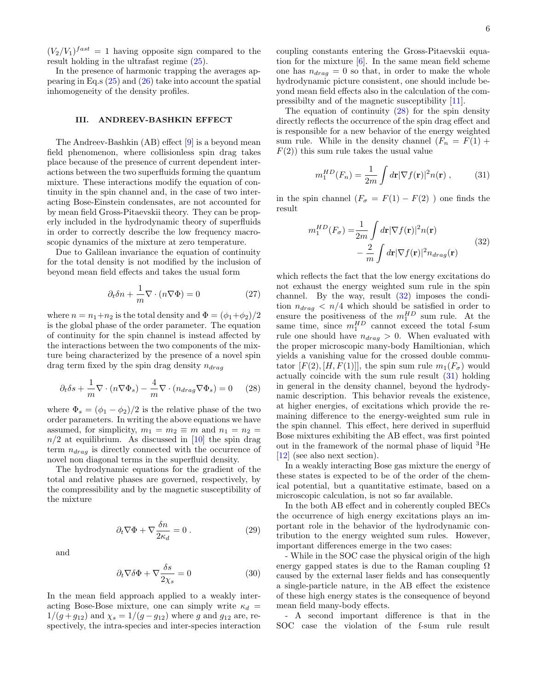$(V_2/V_1)^{fast} = 1$  having opposite sign compared to the result holding in the ultrafast regime [\(25\)](#page-4-4).

In the presence of harmonic trapping the averages appearing in Eq.s [\(25\)](#page-4-4) and [\(26\)](#page-4-3) take into account the spatial inhomogeneity of the density profiles.

### III. ANDREEV-BASHKIN EFFECT

The Andreev-Bashkin (AB) effect [\[9\]](#page-9-5) is a beyond mean field phenomenon, where collisionless spin drag takes place because of the presence of current dependent interactions between the two superfluids forming the quantum mixture. These interactions modify the equation of continuity in the spin channel and, in the case of two interacting Bose-Einstein condensates, are not accounted for by mean field Gross-Pitaevskii theory. They can be properly included in the hydrodynamic theory of superfluids in order to correctly describe the low frequency macroscopic dynamics of the mixture at zero temperature.

Due to Galilean invariance the equation of continuity for the total density is not modified by the inclusion of beyond mean field effects and takes the usual form

$$
\partial_t \delta n + \frac{1}{m} \nabla \cdot (n \nabla \Phi) = 0 \tag{27}
$$

where  $n = n_1+n_2$  is the total density and  $\Phi = (\phi_1+\phi_2)/2$ is the global phase of the order parameter. The equation of continuity for the spin channel is instead affected by the interactions between the two components of the mixture being characterized by the presence of a novel spin drag term fixed by the spin drag density  $n_{drag}$ 

<span id="page-5-0"></span>
$$
\partial_t \delta s + \frac{1}{m} \nabla \cdot (n \nabla \Phi_s) - \frac{4}{m} \nabla \cdot (n_{drag} \nabla \Phi_s) = 0 \quad (28)
$$

where  $\Phi_s = (\phi_1 - \phi_2)/2$  is the relative phase of the two order parameters. In writing the above equations we have assumed, for simplicity,  $m_1 = m_2 \equiv m$  and  $n_1 = n_2$  $n/2$  at equilibrium. As discussed in [\[10\]](#page-9-6) the spin drag term  $n_{drag}$  is directly connected with the occurrence of novel non diagonal terms in the superfluid density.

The hydrodynamic equations for the gradient of the total and relative phases are governed, respectively, by the compressibility and by the magnetic susceptibility of the mixture

$$
\partial_t \nabla \Phi + \nabla \frac{\delta n}{2\kappa_d} = 0.
$$
 (29)

and

$$
\partial_t \nabla \delta \Phi + \nabla \frac{\delta s}{2\chi_s} = 0 \tag{30}
$$

In the mean field approach applied to a weakly interacting Bose-Bose mixture, one can simply write  $\kappa_d$  =  $1/(g + g_{12})$  and  $\chi_s = 1/(g - g_{12})$  where g and  $g_{12}$  are, respectively, the intra-species and inter-species interaction

coupling constants entering the Gross-Pitaevskii equation for the mixture  $[6]$ . In the same mean field scheme one has  $n_{drag} = 0$  so that, in order to make the whole hydrodynamic picture consistent, one should include beyond mean field effects also in the calculation of the compressibilty and of the magnetic susceptibility [\[11\]](#page-9-7).

The equation of continuity [\(28\)](#page-5-0) for the spin density directly reflects the occurrence of the spin drag effect and is responsible for a new behavior of the energy weighted sum rule. While in the density channel  $(F_n = F(1) +$  $F(2)$ ) this sum rule takes the usual value

<span id="page-5-2"></span>
$$
m_1^{HD}(F_n) = \frac{1}{2m} \int d\mathbf{r} |\nabla f(\mathbf{r})|^2 n(\mathbf{r}), \quad (31)
$$

in the spin channel  $(F_{\sigma} = F(1) - F(2))$  one finds the result

<span id="page-5-1"></span>
$$
m_1^{HD}(F_\sigma) = \frac{1}{2m} \int d\mathbf{r} |\nabla f(\mathbf{r})|^2 n(\mathbf{r})
$$

$$
- \frac{2}{m} \int d\mathbf{r} |\nabla f(\mathbf{r})|^2 n_{drag}(\mathbf{r})
$$
(32)

which reflects the fact that the low energy excitations do not exhaust the energy weighted sum rule in the spin channel. By the way, result [\(32\)](#page-5-1) imposes the condition  $n_{drag}$  <  $n/4$  which should be satisfied in order to ensure the positiveness of the  $m_1^{HD}$  sum rule. At the same time, since  $m_1^{HD}$  cannot exceed the total f-sum rule one should have  $n_{drag} > 0$ . When evaluated with the proper microscopic many-body Hamiltionian, which yields a vanishing value for the crossed double commutator  $[F(2), [H, F(1)]]$ , the spin sum rule  $m_1(F_{\sigma})$  would actually coincide with the sum rule result [\(31\)](#page-5-2) holding in general in the density channel, beyond the hydrodynamic description. This behavior reveals the existence, at higher energies, of excitations which provide the remaining difference to the energy-weighted sum rule in the spin channel. This effect, here derived in superfluid Bose mixtures exhibiting the AB effect, was first pointed out in the framework of the normal phase of liquid <sup>3</sup>He [\[12\]](#page-9-8) (see also next section).

In a weakly interacting Bose gas mixture the energy of these states is expected to be of the order of the chemical potential, but a quantitative estimate, based on a microscopic calculation, is not so far available.

In the both AB effect and in coherently coupled BECs the occurrence of high energy excitations plays an important role in the behavior of the hydrodynamic contribution to the energy weighted sum rules. However, important differences emerge in the two cases:

- While in the SOC case the physical origin of the high energy gapped states is due to the Raman coupling  $\Omega$ caused by the external laser fields and has consequently a single-particle nature, in the AB effect the existence of these high energy states is the consequence of beyond mean field many-body effects.

- A second important difference is that in the SOC case the violation of the f-sum rule result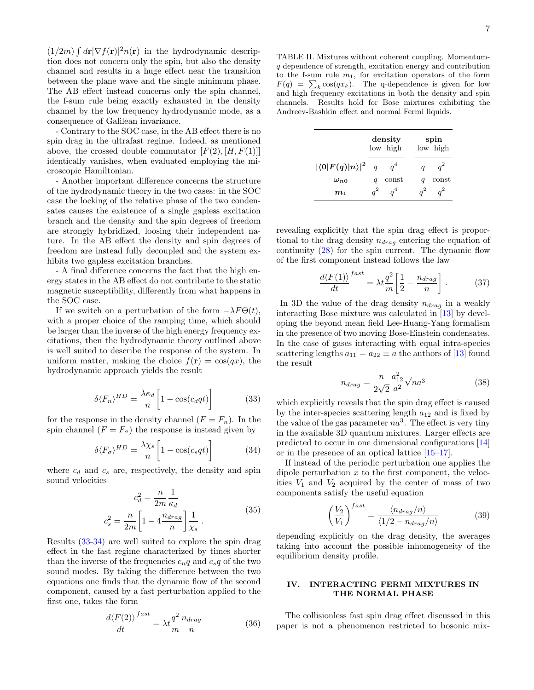$(1/2m)\int d\mathbf{r} |\nabla f(\mathbf{r})|^2 n(\mathbf{r})$  in the hydrodynamic description does not concern only the spin, but also the density channel and results in a huge effect near the transition between the plane wave and the single minimum phase. The AB effect instead concerns only the spin channel, the f-sum rule being exactly exhausted in the density channel by the low frequency hydrodynamic mode, as a consequence of Galilean invariance.

- Contrary to the SOC case, in the AB effect there is no spin drag in the ultrafast regime. Indeed, as mentioned above, the crossed double commutator  $[F(2), [H, F(1)]]$ identically vanishes, when evaluated employing the microscopic Hamiltonian.

- Another important difference concerns the structure of the hydrodynamic theory in the two cases: in the SOC case the locking of the relative phase of the two condensates causes the existence of a single gapless excitation branch and the density and the spin degrees of freedom are strongly hybridized, loosing their independent nature. In the AB effect the density and spin degrees of freedom are instead fully decoupled and the system exhibits two gapless excitation branches.

- A final difference concerns the fact that the high energy states in the AB effect do not contribute to the static magnetic susceptibility, differently from what happens in the SOC case.

If we switch on a perturbation of the form  $-\lambda F\Theta(t)$ , with a proper choice of the ramping time, which should be larger than the inverse of the high energy frequency excitations, then the hydrodynamic theory outlined above is well suited to describe the response of the system. In uniform matter, making the choice  $f(\mathbf{r}) = \cos(qx)$ , the hydrodynamic approach yields the result

<span id="page-6-1"></span>
$$
\delta \langle F_n \rangle^{HD} = \frac{\lambda \kappa_d}{n} \left[ 1 - \cos(c_d q t) \right] \tag{33}
$$

for the response in the density channel  $(F = F_n)$ . In the spin channel  $(F = F_{\sigma})$  the response is instead given by

<span id="page-6-2"></span>
$$
\delta \langle F_{\sigma} \rangle^{HD} = \frac{\lambda \chi_s}{n} \left[ 1 - \cos(c_s q t) \right] \tag{34}
$$

where  $c_d$  and  $c_s$  are, respectively, the density and spin sound velocities

$$
c_d^2 = \frac{n}{2m} \frac{1}{\kappa_d}
$$
  

$$
c_s^2 = \frac{n}{2m} \left[ 1 - 4 \frac{n_{drag}}{n} \right] \frac{1}{\chi_s} .
$$
 (35)

Results [\(33-](#page-6-1)[34\)](#page-6-2) are well suited to explore the spin drag effect in the fast regime characterized by times shorter than the inverse of the frequencies  $c_nq$  and  $c_sq$  of the two sound modes. By taking the difference between the two equations one finds that the dynamic flow of the second component, caused by a fast perturbation applied to the first one, takes the form

$$
\frac{d\langle F(2)\rangle}{dt}^{fast} = \lambda t \frac{q^2}{m} \frac{n_{drag}}{n}
$$
 (36)

<span id="page-6-0"></span>TABLE II. Mixtures without coherent coupling. Momentumq dependence of strength, excitation energy and contribution to the f-sum rule  $m_1$ , for excitation operators of the form  $F(q) = \sum_k \cos(qx_k)$ . The q-dependence is given for low and high frequency excitations in both the density and spin channels. Results hold for Bose mixtures exhibiting the Andreev-Bashkin effect and normal Fermi liquids.

|                                 | density<br>low high |       | spin<br>low high |       |
|---------------------------------|---------------------|-------|------------------|-------|
| $ \langle 0 F(q) n\rangle ^2 q$ |                     | $q^4$ |                  |       |
| $\omega_{n,0}$                  |                     | const |                  | const |
| m <sub>1</sub>                  |                     | $a^4$ |                  |       |

revealing explicitly that the spin drag effect is proportional to the drag density  $n_{drag}$  entering the equation of continuity [\(28\)](#page-5-0) for the spin current. The dynamic flow of the first component instead follows the law

$$
\frac{d\langle F(1)\rangle}{dt}^{fast} = \lambda t \frac{q^2}{m} \left[\frac{1}{2} - \frac{n_{drag}}{n}\right].
$$
 (37)

In 3D the value of the drag density  $n_{drag}$  in a weakly interacting Bose mixture was calculated in [\[13\]](#page-9-9) by developing the beyond mean field Lee-Huang-Yang formalism in the presence of two moving Bose-Einstein condensates. In the case of gases interacting with equal intra-species scattering lengths  $a_{11} = a_{22} \equiv a$  the authors of [\[13\]](#page-9-9) found the result

$$
n_{drag} = \frac{n}{2\sqrt{2}} \frac{a_{12}^2}{a^2} \sqrt{na^3}
$$
 (38)

which explicitly reveals that the spin drag effect is caused by the inter-species scattering length  $a_{12}$  and is fixed by the value of the gas parameter  $na^3$ . The effect is very tiny in the available 3D quantum mixtures. Larger effects are predicted to occur in one dimensional configurations [\[14\]](#page-9-10) or in the presence of an optical lattice [\[15–](#page-9-11)[17\]](#page-9-12).

If instead of the periodic perturbation one applies the dipole perturbation  $x$  to the first component, the velocities  $V_1$  and  $V_2$  acquired by the center of mass of two components satisfy the useful equation

$$
\left(\frac{V_2}{V_1}\right)^{fast} = \frac{\langle n_{drag}/n \rangle}{\langle 1/2 - n_{drag}/n \rangle} \tag{39}
$$

depending explicitly on the drag density, the averages taking into account the possible inhomogeneity of the equilibrium density profile.

# IV. INTERACTING FERMI MIXTURES IN THE NORMAL PHASE

The collisionless fast spin drag effect discussed in this paper is not a phenomenon restricted to bosonic mix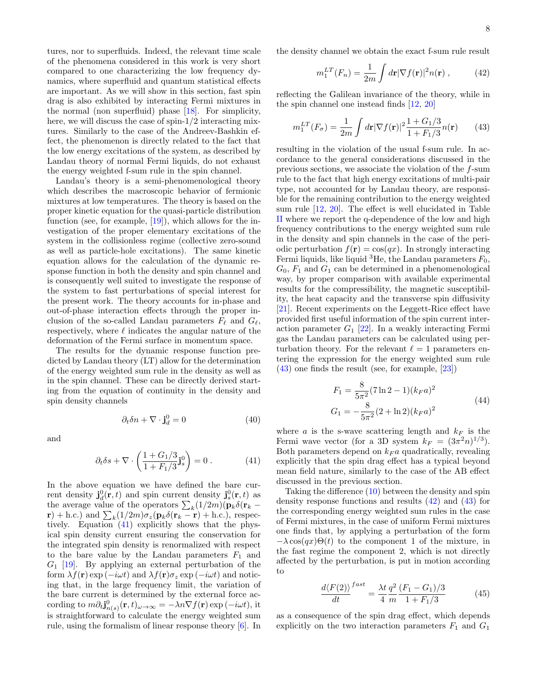tures, nor to superfluids. Indeed, the relevant time scale of the phenomena considered in this work is very short compared to one characterizing the low frequency dynamics, where superfluid and quantum statistical effects are important. As we will show in this section, fast spin drag is also exhibited by interacting Fermi mixtures in the normal (non superfluid) phase [\[18\]](#page-9-13). For simplicity, here, we will discuss the case of spin-1/2 interacting mixtures. Similarly to the case of the Andreev-Bashkin effect, the phenomenon is directly related to the fact that the low energy excitations of the system, as described by Landau theory of normal Fermi liquids, do not exhaust the energy weighted f-sum rule in the spin channel.

Landau's theory is a semi-phenomenological theory which describes the macroscopic behavior of fermionic mixtures at low temperatures. The theory is based on the proper kinetic equation for the quasi-particle distribution function (see, for example, [\[19\]](#page-9-14)), which allows for the investigation of the proper elementary excitations of the system in the collisionless regime (collective zero-sound as well as particle-hole excitations). The same kinetic equation allows for the calculation of the dynamic response function in both the density and spin channel and is consequently well suited to investigate the response of the system to fast perturbations of special interest for the present work. The theory accounts for in-phase and out-of-phase interaction effects through the proper inclusion of the so-called Landau parameters  $F_\ell$  and  $G_\ell$ , respectively, where  $\ell$  indicates the angular nature of the deformation of the Fermi surface in momentum space.

The results for the dynamic response function predicted by Landau theory (LT) allow for the determination of the energy weighted sum rule in the density as well as in the spin channel. These can be directly derived starting from the equation of continuity in the density and spin density channels

and

<span id="page-7-0"></span>
$$
\partial_t \delta s + \nabla \cdot \left( \frac{1 + G_1/3}{1 + F_1/3} \mathbf{j}_s^0 \right) = 0 \,. \tag{41}
$$

 $\partial_t \delta n + \nabla \cdot \mathbf{j}_d^0 = 0$  (40)

In the above equation we have defined the bare current density  $\mathbf{j}_{d}^{0}(\mathbf{r},t)$  and spin current density  $\mathbf{j}_{s}^{0}(\mathbf{r},t)$  as the average value of the operators  $\sum_{k} (1/2m)(\mathbf{p}_k \delta(\mathbf{r}_k (\mathbf{r}) + \text{h.c.})$  and  $\sum_{k} (1/2m) \sigma_z(\mathbf{p}_k \delta(\mathbf{r}_k - \mathbf{r}) + \text{h.c.})$ , respectively. Equation [\(41\)](#page-7-0) explicitly shows that the physical spin density current ensuring the conservation for the integrated spin density is renormalized with respect to the bare value by the Landau parameters  $F_1$  and  $G_1$  [\[19\]](#page-9-14). By applying an external perturbation of the form  $\lambda f(\mathbf{r}) \exp(-i\omega t)$  and  $\lambda f(\mathbf{r}) \sigma_z \exp(-i\omega t)$  and noticing that, in the large frequency limit, the variation of the bare current is determined by the external force according to  $m\partial_t \mathbf{j}_{n(s)}^0(\mathbf{r},t)_{\omega\to\infty} = -\lambda n \nabla f(\mathbf{r}) \exp(-i\omega t),$  it is straightforward to calculate the energy weighted sum rule, using the formalism of linear response theory [\[6\]](#page-9-2). In <span id="page-7-2"></span>the density channel we obtain the exact f-sum rule result

$$
m_1^{LT}(F_n) = \frac{1}{2m} \int d\mathbf{r} |\nabla f(\mathbf{r})|^2 n(\mathbf{r}), \qquad (42)
$$

reflecting the Galilean invariance of the theory, while in the spin channel one instead finds [\[12,](#page-9-8) [20\]](#page-9-15)

<span id="page-7-1"></span>
$$
m_1^{LT}(F_\sigma) = \frac{1}{2m} \int d\mathbf{r} |\nabla f(\mathbf{r})|^2 \frac{1 + G_1/3}{1 + F_1/3} n(\mathbf{r}) \qquad (43)
$$

resulting in the violation of the usual f-sum rule. In accordance to the general considerations discussed in the previous sections, we associate the violation of the f-sum rule to the fact that high energy excitations of multi-pair type, not accounted for by Landau theory, are responsible for the remaining contribution to the energy weighted sum rule [\[12,](#page-9-8) [20\]](#page-9-15). The effect is well elucidated in Table [II](#page-6-0) where we report the q-dependence of the low and high frequency contributions to the energy weighted sum rule in the density and spin channels in the case of the periodic perturbation  $f(\mathbf{r}) = \cos(qx)$ . In strongly interacting Fermi liquids, like liquid <sup>3</sup>He, the Landau parameters  $F_0$ ,  $G_0$ ,  $F_1$  and  $G_1$  can be determined in a phenomenological way, by proper comparison with available experimental results for the compressibility, the magnetic susceptibility, the heat capacity and the transverse spin diffusivity [\[21\]](#page-9-16). Recent experiments on the Leggett-Rice effect have provided first useful information of the spin current interaction parameter  $G_1$  [\[22\]](#page-9-17). In a weakly interacting Fermi gas the Landau parameters can be calculated using perturbation theory. For the relevant  $\ell = 1$  parameters entering the expression for the energy weighted sum rule [\(43\)](#page-7-1) one finds the result (see, for example, [\[23\]](#page-9-18))

$$
F_1 = \frac{8}{5\pi^2} (7 \ln 2 - 1)(k_F a)^2
$$
  
\n
$$
G_1 = -\frac{8}{5\pi^2} (2 + \ln 2)(k_F a)^2
$$
\n(44)

where a is the s-wave scattering length and  $k_F$  is the Fermi wave vector (for a 3D system  $k_F = (3\pi^2 n)^{1/3}$ ). Both parameters depend on  $k_F a$  quadratically, revealing explicitly that the spin drag effect has a typical beyond mean field nature, similarly to the case of the AB effect discussed in the previous section.

Taking the difference [\(10\)](#page-2-2) between the density and spin density response functions and results [\(42\)](#page-7-2) and [\(43\)](#page-7-1) for the corresponding energy weighted sum rules in the case of Fermi mixtures, in the case of uniform Fermi mixtures one finds that, by applying a perturbation of the form  $-\lambda \cos(qx)\Theta(t)$  to the component 1 of the mixture, in the fast regime the component 2, which is not directly affected by the perturbation, is put in motion according to

$$
\frac{d\langle F(2)\rangle}{dt}^{fast} = \frac{\lambda t}{4} \frac{q^2}{m} \frac{(F_1 - G_1)/3}{1 + F_1/3}
$$
(45)

as a consequence of the spin drag effect, which depends explicitly on the two interaction parameters  $F_1$  and  $G_1$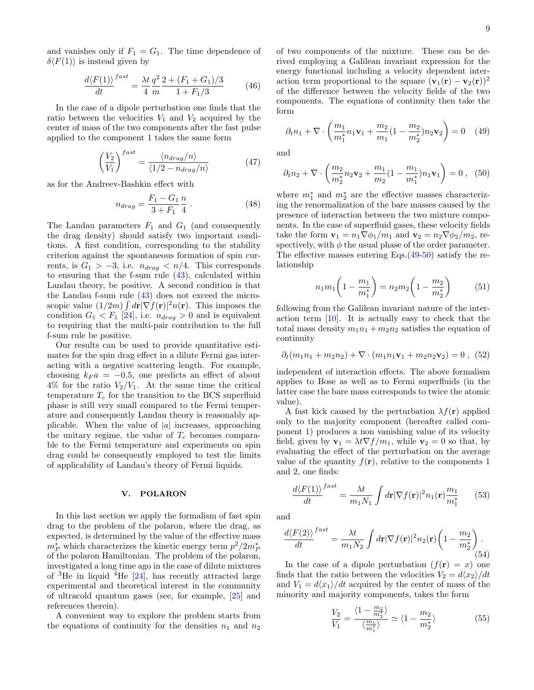and vanishes only if  $F_1 = G_1$ . The time dependence of  $\delta\langle F(1)\rangle$  is instead given by

$$
\frac{d\langle F(1)\rangle}{dt}^{fast} = \frac{\lambda t}{4} \frac{q^2}{m} \frac{2 + (F_1 + G_1)/3}{1 + F_1/3} \tag{46}
$$

In the case of a dipole perturbation one finds that the ratio between the velocities  $V_1$  and  $V_2$  acquired by the center of mass of the two components after the fast pulse applied to the component 1 takes the same form

$$
\left(\frac{V_2}{V_1}\right)^{fast} = \frac{\langle n_{drag}/n \rangle}{\langle 1/2 - n_{drag}/n \rangle} \tag{47}
$$

as for the Andreev-Bashkin effect with

$$
n_{drag} = \frac{F_1 - G_1}{3 + F_1} \frac{n}{4} \,. \tag{48}
$$

The Landau parameters  $F_1$  and  $G_1$  (and consequently the drag density) should satisfy two important conditions. A first condition, corresponding to the stability criterion against the spontaneous formation of spin currents, is  $G_1 > -3$ , i.e.  $n_{drag} < n/4$ . This corresponds to ensuring that the f-sum rule  $(43)$ , calculated within Landau theory, be positive. A second condition is that the Landau f-sum rule [\(43\)](#page-7-1) does not exceed the microscopic value  $(1/2m) \int d\mathbf{r} |\nabla f(\mathbf{r})|^2 n(\mathbf{r})$ . This imposes the condition  $G_1 < F_1$  [\[24\]](#page-9-19), i.e.  $n_{drag} > 0$  and is equivalent to requiring that the multi-pair contribution to the full f-sum rule be positive.

Our results can be used to provide quantitative estimates for the spin drag effect in a dilute Fermi gas interacting with a negative scattering length. For example, choosing  $k_F a = -0.5$ , one predicts an effect of about  $4\%$  for the ratio  $V_2/V_1$ . At the same time the critical temperature  $T_c$  for the transition to the BCS superfluid phase is still very small compared to the Fermi temperature and consequently Landau theory is reasonably applicable. When the value of  $|a|$  increases, approaching the unitary regime, the value of  $T_c$  becomes comparable to the Fermi temperature and experiments on spin drag could be consequently employed to test the limits of applicability of Landau's theory of Fermi liquids.

#### V. POLARON

In this last section we apply the formalism of fast spin drag to the problem of the polaron, where the drag, as expected, is determined by the value of the effective mass  $m_P^*$  which characterizes the kinetic energy term  $p^2/2m_P^*$ of the polaron Hamiltonian. The problem of the polaron, investigated a long time ago in the case of dilute mixtures of  ${}^{3}$ He in liquid  ${}^{4}$ He [\[24\]](#page-9-19), has recently attracted large experimental and theoretical interest in the community of ultracold quantum gases (see, for example, [\[25\]](#page-9-20) and references therein).

A convenient way to explore the problem starts from the equations of continuity for the densities  $n_1$  and  $n_2$  of two components of the mixture. These can be derived employing a Galilean invariant expression for the energy functional including a velocity dependent interaction term proportional to the square  $(\mathbf{v}_1(\mathbf{r}) - \mathbf{v}_2(\mathbf{r}))^2$ of the difference between the velocity fields of the two components. The equations of continuity then take the form

<span id="page-8-0"></span>
$$
\partial_t n_1 + \nabla \cdot \left( \frac{m_1}{m_1^*} n_1 \mathbf{v}_1 + \frac{m_2}{m_1} (1 - \frac{m_2}{m_2^*}) n_2 \mathbf{v}_2 \right) = 0 \quad (49)
$$

and

<span id="page-8-1"></span>
$$
\partial_t n_2 + \nabla \cdot \left( \frac{m_2}{m_2^*} n_2 \mathbf{v}_2 + \frac{m_1}{m_2} (1 - \frac{m_1}{m_1^*}) n_1 \mathbf{v}_1 \right) = 0 \ , \ (50)
$$

where  $m_1^*$  and  $m_2^*$  are the effective masses characterizing the renormalization of the bare masses caused by the presence of interaction between the two mixture components. In the case of superfluid gases, these velocity fields take the form  $\mathbf{v}_1 = n_1 \nabla \phi_1 / m_1$  and  $\mathbf{v}_2 = n_2 \nabla \phi_2 / m_2$ , respectively, with  $\phi$  the usual phase of the order parameter. The effective masses entering Eqs.[\(49-](#page-8-0)[50\)](#page-8-1) satisfy the relationship

<span id="page-8-2"></span>
$$
n_1 m_1 \left( 1 - \frac{m_1}{m_1^*} \right) = n_2 m_2 \left( 1 - \frac{m_2}{m_2^*} \right) \tag{51}
$$

following from the Galilean invariant nature of the interaction term [\[10\]](#page-9-6). It is actually easy to check that the total mass density  $m_1n_1 + m_2n_2$  satisfies the equation of continuity

$$
\partial_t (m_1 n_1 + m_2 n_2) + \nabla \cdot (m_1 n_1 \mathbf{v}_1 + m_2 n_2 \mathbf{v}_2) = 0 , \quad (52)
$$

independent of interaction effects. The above formalism applies to Bose as well as to Fermi superfluids (in the latter case the bare mass corresponds to twice the atomic value).

A fast kick caused by the perturbation  $\lambda f(\mathbf{r})$  applied only to the majority component (hereafter called component 1) produces a non vanishing value of its velocity field, given by  $\mathbf{v}_1 = \lambda t \nabla f / m_1$ , while  $\mathbf{v}_2 = 0$  so that, by evaluating the effect of the perturbation on the average value of the quantity  $f(\mathbf{r})$ , relative to the components 1 and 2, one finds:

$$
\frac{d\langle F(1)\rangle}{dt}^{fast} = \frac{\lambda t}{m_1 N_1} \int d\mathbf{r} |\nabla f(\mathbf{r})|^2 n_1(\mathbf{r}) \frac{m_1}{m_1^*} \qquad (53)
$$

and

$$
\frac{d\langle F(2)\rangle}{dt}^{fast} = \frac{\lambda t}{m_1 N_2} \int d\mathbf{r} |\nabla f(\mathbf{r})|^2 n_2(\mathbf{r}) \left(1 - \frac{m_2}{m_2^*}\right). \tag{54}
$$

In the case of a dipole perturbation  $(f(\mathbf{r}) = x)$  one finds that the ratio between the velocities  $V_2 = d\langle x_2 \rangle / dt$ and  $V_1 = d\langle x_1 \rangle/dt$  acquired by the center of mass of the minority and majority components, takes the form

$$
\frac{V_2}{V_1} = \frac{\langle 1 - \frac{m_2}{m_2^*} \rangle}{\langle \frac{m_1}{m_1^*} \rangle} \simeq \langle 1 - \frac{m_2}{m_2^*} \rangle \tag{55}
$$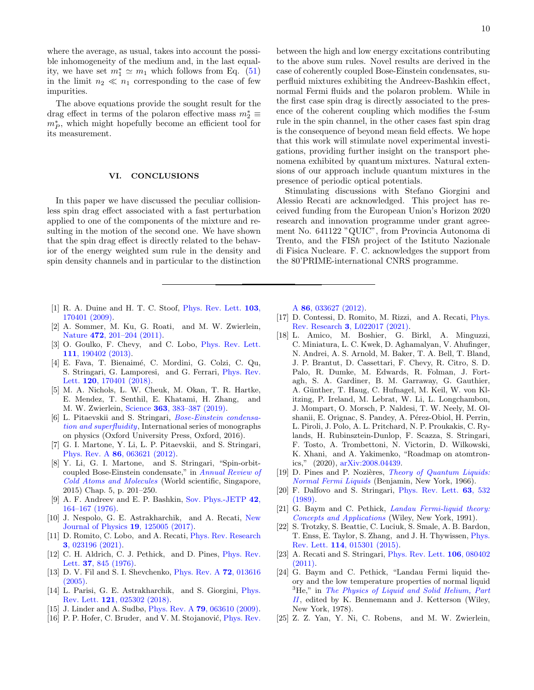where the average, as usual, takes into account the possible inhomogeneity of the medium and, in the last equality, we have set  $m_1^* \simeq m_1$  which follows from Eq. [\(51\)](#page-8-2) in the limit  $n_2 \ll n_1$  corresponding to the case of few impurities.

The above equations provide the sought result for the drag effect in terms of the polaron effective mass  $m_2^*\equiv$  $m_P^*$ , which might hopefully become an efficient tool for its measurement.

#### VI. CONCLUSIONS

In this paper we have discussed the peculiar collisionless spin drag effect associated with a fast perturbation applied to one of the components of the mixture and resulting in the motion of the second one. We have shown that the spin drag effect is directly related to the behavior of the energy weighted sum rule in the density and spin density channels and in particular to the distinction

- <span id="page-9-0"></span>[1] R. A. Duine and H. T. C. Stoof, [Phys. Rev. Lett.](http://dx.doi.org/10.1103/PhysRevLett.103.170401) **103**, [170401 \(2009\).](http://dx.doi.org/10.1103/PhysRevLett.103.170401)
- [2] A. Sommer, M. Ku, G. Roati, and M. W. Zwierlein, Nature 472[, 201–204 \(2011\).](http://dx.doi.org/ 10.1038/nature09989)
- [3] O. Goulko, F. Chevy, and C. Lobo, [Phys. Rev. Lett.](http://dx.doi.org/10.1103/PhysRevLett.111.190402) 111[, 190402 \(2013\).](http://dx.doi.org/10.1103/PhysRevLett.111.190402)
- [4] E. Fava, T. Bienaimé, C. Mordini, G. Colzi, C. Qu, S. Stringari, G. Lamporesi, and G. Ferrari, [Phys. Rev.](http://dx.doi.org/ 10.1103/PhysRevLett.120.170401) Lett. **120**[, 170401 \(2018\).](http://dx.doi.org/ 10.1103/PhysRevLett.120.170401)
- <span id="page-9-1"></span>[5] M. A. Nichols, L. W. Cheuk, M. Okan, T. R. Hartke, E. Mendez, T. Senthil, E. Khatami, H. Zhang, and M. W. Zwierlein, Science 363[, 383–387 \(2019\).](http://dx.doi.org/10.1126/science.aat4387)
- <span id="page-9-2"></span>[6] L. Pitaevskii and S. Stringari, [Bose-Einstein condensa](http://dx.doi.org/10.1093/acprof:oso/9780198758884.001.0001)[tion and superfluidity](http://dx.doi.org/10.1093/acprof:oso/9780198758884.001.0001), International series of monographs on physics (Oxford University Press, Oxford, 2016).
- <span id="page-9-3"></span>[7] G. I. Martone, Y. Li, L. P. Pitaevskii, and S. Stringari, Phys. Rev. A 86[, 063621 \(2012\).](http://dx.doi.org/10.1103/PhysRevA.86.063621)
- <span id="page-9-4"></span>[8] Y. Li, G. I. Martone, and S. Stringari, "Spin-orbitcoupled Bose-Einstein condensate," in [Annual Review of](http://dx.doi.org/10.1142/9789814667746_0005) [Cold Atoms and Molecules](http://dx.doi.org/10.1142/9789814667746_0005) (World scientific, Singapore, 2015) Chap. 5, p. 201–250.
- <span id="page-9-5"></span>[9] A. F. Andreev and E. P. Bashkin, [Sov. Phys.-JETP](http://www.jetp.ac.ru/cgi-bin/dn/e_042_01_0164.pdf) 42, [164–167 \(1976\).](http://www.jetp.ac.ru/cgi-bin/dn/e_042_01_0164.pdf)
- <span id="page-9-6"></span>[10] J. Nespolo, G. E. Astrakharchik, and A. Recati, [New](http://dx.doi.org/10.1088/1367-2630/aa93a0) [Journal of Physics](http://dx.doi.org/10.1088/1367-2630/aa93a0) 19, 125005 (2017).
- <span id="page-9-7"></span>[11] D. Romito, C. Lobo, and A. Recati, [Phys. Rev. Research](http://dx.doi.org/10.1103/PhysRevResearch.3.023196) 3[, 023196 \(2021\).](http://dx.doi.org/10.1103/PhysRevResearch.3.023196)
- <span id="page-9-8"></span>[12] C. H. Aldrich, C. J. Pethick, and D. Pines, [Phys. Rev.](http://dx.doi.org/10.1103/PhysRevLett.37.845) Lett. 37[, 845 \(1976\).](http://dx.doi.org/10.1103/PhysRevLett.37.845)
- <span id="page-9-9"></span>[13] D. V. Fil and S. I. Shevchenko, [Phys. Rev. A](http://dx.doi.org/10.1103/PhysRevA.72.013616) 72, 013616 [\(2005\).](http://dx.doi.org/10.1103/PhysRevA.72.013616)
- <span id="page-9-10"></span>[14] L. Parisi, G. E. Astrakharchik, and S. Giorgini, [Phys.](http://dx.doi.org/10.1103/PhysRevLett.121.025302) Rev. Lett. 121[, 025302 \(2018\).](http://dx.doi.org/10.1103/PhysRevLett.121.025302)
- <span id="page-9-11"></span>[15] J. Linder and A. Sudbø, *Phys. Rev. A* **79**[, 063610 \(2009\).](http://dx.doi.org/10.1103/PhysRevA.79.063610)
- [16] P. P. Hofer, C. Bruder, and V. M. Stojanović, *[Phys. Rev.](http://dx.doi.org/ 10.1103/PhysRevA.86.033627)*

between the high and low energy excitations contributing to the above sum rules. Novel results are derived in the case of coherently coupled Bose-Einstein condensates, superfluid mixtures exhibiting the Andreev-Bashkin effect, normal Fermi fluids and the polaron problem. While in the first case spin drag is directly associated to the presence of the coherent coupling which modifies the f-sum rule in the spin channel, in the other cases fast spin drag is the consequence of beyond mean field effects. We hope that this work will stimulate novel experimental investigations, providing further insight on the transport phenomena exhibited by quantum mixtures. Natural extensions of our approach include quantum mixtures in the presence of periodic optical potentials.

Stimulating discussions with Stefano Giorgini and Alessio Recati are acknowledged. This project has received funding from the European Union's Horizon 2020 research and innovation programme under grant agreement No. 641122 "QUIC", from Provincia Autonoma di Trento, and the  $FIS\hbar$  project of the Istituto Nazionale di Fisica Nucleare. F. C. acknowledges the support from the 80'PRIME-international CNRS programme.

A 86[, 033627 \(2012\).](http://dx.doi.org/ 10.1103/PhysRevA.86.033627)

- <span id="page-9-12"></span>[17] D. Contessi, D. Romito, M. Rizzi, and A. Recati, [Phys.](http://dx.doi.org/ 10.1103/PhysRevResearch.3.L022017) Rev. Research 3[, L022017 \(2021\).](http://dx.doi.org/ 10.1103/PhysRevResearch.3.L022017)
- <span id="page-9-13"></span>[18] L. Amico, M. Boshier, G. Birkl, A. Minguzzi, C. Miniatura, L. C. Kwek, D. Aghamalyan, V. Ahufinger, N. Andrei, A. S. Arnold, M. Baker, T. A. Bell, T. Bland, J. P. Brantut, D. Cassettari, F. Chevy, R. Citro, S. D. Palo, R. Dumke, M. Edwards, R. Folman, J. Fortagh, S. A. Gardiner, B. M. Garraway, G. Gauthier, A. Günther, T. Haug, C. Hufnagel, M. Keil, W. von Klitzing, P. Ireland, M. Lebrat, W. Li, L. Longchambon, J. Mompart, O. Morsch, P. Naldesi, T. W. Neely, M. Olshanii, E. Orignac, S. Pandey, A. Pérez-Obiol, H. Perrin, L. Piroli, J. Polo, A. L. Pritchard, N. P. Proukakis, C. Rylands, H. Rubinsztein-Dunlop, F. Scazza, S. Stringari, F. Tosto, A. Trombettoni, N. Victorin, D. Wilkowski, K. Xhani, and A. Yakimenko, "Roadmap on atomtronics," (2020), [arXiv:2008.04439.](http://arxiv.org/abs/2008.04439)
- <span id="page-9-14"></span>[19] D. Pines and P. Nozières, [Theory of Quantum Liquids:](http://dx.doi.org/10.4324/9780429492662) [Normal Fermi Liquids](http://dx.doi.org/10.4324/9780429492662) (Benjamin, New York, 1966).
- <span id="page-9-15"></span>[20] F. Dalfovo and S. Stringari, [Phys. Rev. Lett.](http://dx.doi.org/10.1103/PhysRevLett.63.532) **63**, 532 [\(1989\).](http://dx.doi.org/10.1103/PhysRevLett.63.532)
- <span id="page-9-16"></span>[21] G. Baym and C. Pethick, [Landau Fermi-liquid theory:](http://dx.doi.org/10.1002/9783527617159) [Concepts and Applications](http://dx.doi.org/10.1002/9783527617159) (Wiley, New York, 1991).
- <span id="page-9-17"></span>[22] S. Trotzky, S. Beattie, C. Luciuk, S. Smale, A. B. Bardon, T. Enss, E. Taylor, S. Zhang, and J. H. Thywissen, [Phys.](http://dx.doi.org/10.1103/PhysRevLett.114.015301) Rev. Lett. 114[, 015301 \(2015\).](http://dx.doi.org/10.1103/PhysRevLett.114.015301)
- <span id="page-9-18"></span>[23] A. Recati and S. Stringari, [Phys. Rev. Lett.](http://dx.doi.org/10.1103/PhysRevLett.106.080402) 106, 080402 [\(2011\).](http://dx.doi.org/10.1103/PhysRevLett.106.080402)
- <span id="page-9-19"></span>[24] G. Baym and C. Pethick, "Landau Fermi liquid theory and the low temperature properties of normal liquid  ${}^{3}$ He," in [The Physics of Liquid and Solid Helium, Part](https://doi.org/10.1002/bbpc.19790830624) [II](https://doi.org/10.1002/bbpc.19790830624), edited by K. Bennemann and J. Ketterson (Wiley, New York, 1978).
- <span id="page-9-20"></span>[25] Z. Z. Yan, Y. Ni, C. Robens, and M. W. Zwierlein,